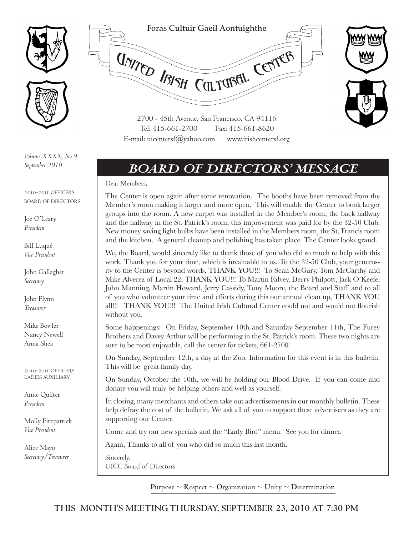



*Volume XXXX, No 9 September 2010*

2010-2011 OFFICERS BOARD OF DIRECTORS

Joe O'Leary *President*

Bill Luqué *Vice President*

John Gallagher *Secretary*

John Flynn *Treasurer*

Mike Bowler Nancy Newell Anna Shea

2010-2011 OFFICERS LADIES AUXILIARY

Anne Quilter *President*

Molly Fitzpatrick *Vice President*

Alice Mayo *Secretary/Treasurer*



# *Board of Directors' Message*

Dear Members,

The Center is open again after some renovation. The booths have been removed from the Member's room making it larger and more open. This will enable the Center to book larger groups into the room. A new carpet was installed in the Member's room, the back hallway and the hallway in the St. Patrick's room, this improvement was paid for by the 32-50 Club. New money saving light bulbs have been installed in the Members room, the St. Francis room and the kitchen. A general cleanup and polishing has taken place. The Center looks grand.

We, the Board, would sincerely like to thank those of you who did so much to help with this work. Thank you for your time, which is invaluable to us. To the 32-50 Club, your generosity to the Center is beyond words, THANK YOU!!! To Sean McGary, Tom McCarthy and Mike Alverez of Local 22, THANK YOU!!! To Martin Falvey, Derry Philpott, Jack O'Keefe, John Manning, Martin Howard, Jerry Cassidy, Tony Moore, the Board and Staff and to all of you who volunteer your time and efforts during this our annual clean up, THANK YOU all!!! THANK YOU!!! The United Irish Cultural Center could not and would not flourish without you.

Some happenings: On Friday, September 10th and Saturday September 11th, The Furey Brothers and Davey Arthur will be performing in the St. Patrick's room. These two nights are sure to be most enjoyable, call the center for tickets, 661-2700.

On Sunday, September 12th, a day at the Zoo. Information for this event is in this bulletin. This will be great family day.

On Sunday, October the 10th, we will be holding our Blood Drive. If you can come and donate you will truly be helping others and well as yourself.

In closing, many merchants and others take out advertisements in our monthly bulletin. These help defray the cost of the bulletin. We ask all of you to support these advertisers as they are supporting our Center.

Come and try our new specials and the "Early Bird" menu. See you for dinner.

Again, Thanks to all of you who did so much this last month.

Sincerely, UICC Board of Directors

**Purpose**  $\sim$  **Respect**  $\sim$  **Organization**  $\sim$  **Unity**  $\sim$  **Determination**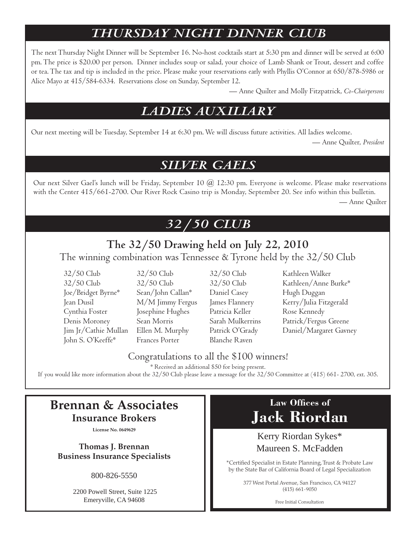# *Thursday night dinner club*

The next Thursday Night Dinner will be September 16. No-host cocktails start at 5:30 pm and dinner will be served at 6:00 pm. The price is \$20.00 per person. Dinner includes soup or salad, your choice of Lamb Shank or Trout, dessert and coffee or tea. The tax and tip is included in the price. Please make your reservations early with Phyllis O'Connor at 650/878-5986 or Alice Mayo at 415/584-6334. Reservations close on Sunday, September 12.

— Anne Quilter and Molly Fitzpatrick, *Co-Chairpersons*

## *ladies auxiliary*

Our next meeting will be Tuesday, September 14 at 6:30 pm. We will discuss future activities. All ladies welcome.

— Anne Quilter, *President*

## *Silver Gaels*

Our next Silver Gael's lunch will be Friday, September 10 @ 12:30 pm. Everyone is welcome. Please make reservations with the Center 415/661-2700. Our River Rock Casino trip is Monday, September 20. See info within this bulletin.

— Anne Quilter

# *32/50 club*

# **The 32/50 Drawing held on July 22, 2010**

The winning combination was Tennessee & Tyrone held by the 32/50 Club

- 32/50 Club 32/50 Club 32/50 Club Kathleen Walker Joe/Bridget Byrne\* Sean/John Callan\* Daniel Casey Hugh Duggan Cynthia Foster Josephine Hughes Patricia Keller Rose Kennedy John S. O'Keeffe\* Frances Porter Blanche Raven
	-
- 32/50 Club 32/50 Club 32/50 Club Kathleen/Anne Burke\* Jean Dusil M/M Jimmy Fergus James Flannery Kerry/Julia Fitzgerald Denis Moroney Sean Morris Sarah Mulkerrins Patrick/Fergus Greene Jim Jr/Cathie Mullan Ellen M. Murphy Patrick O'Grady Daniel/Margaret Gavney

#### Congratulations to all the \$100 winners!

\* Received an additional \$50 for being present.

If you would like more information about the 32/50 Club please leave a message for the 32/50 Committee at (415) 661- 2700, ext. 305.

## **Brennan & Associates Insurance Brokers**

**License No. 0649629**

**Thomas J. Brennan Business Insurance Specialists**

800-826-5550

 2200 Powell Street, Suite 1225 Emeryville, CA 94608

# **Law Offices of Jack Riordan**

#### Kerry Riordan Sykes\* Maureen S. McFadden

\*Certified Specialist in Estate Planning, Trust & Probate Law by the State Bar of California Board of Legal Specialization

> 377 West Portal Avenue, San Francisco, CA 94127 (415) 661-9050

> > Free Initial Consultation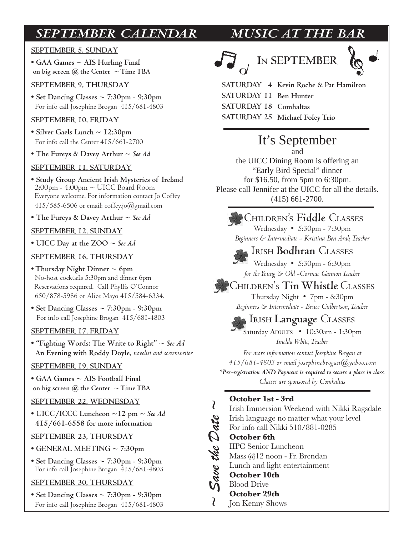# *September Calendar Music at the Bar*

#### **September 5, SUNday**

**• GAA Games ~ AIS Hurling Final**  on big screen  $\omega$  the Center  $\sim$  Time TBA

#### **September 9, THURsday**

**• Set Dancing Classes ~ 7:30pm - 9:30pm** For info call Josephine Brogan 415/681-4803

#### **September 10, FRIday**

- **Silver Gaels Lunch ~ 12:30pm** For info call the Center 415/661-2700
- **The Fureys & Davey Arthur ~** *See Ad*

#### **September 11, Saturday**

**• Study Group Ancient Irish Mysteries of Ireland** 2:00pm - 4:00pm ~ UICC Board Room Everyone welcome. For information contact Jo Coffey  $415/585-6506$  or email: coffey.jo $@g$ mail.com

**• The Fureys & Davey Arthur ~** *See Ad*

#### **September 12, Sunday**

**• UICC Day at the ZOO ~** *See Ad*

#### **September 16, Thursday**

- **Thursday Night Dinner ~ 6pm** No-host cocktails 5:30pm and dinner 6pm Reservations required. Call Phyllis O'Connor 650/878-5986 or Alice Mayo 415/584-6334.
- **Set Dancing Classes ~ 7:30pm 9:30pm** For info call Josephine Brogan 415/681-4803

#### **September 17, Friday**

**• "Fighting Words: The Write to Right"** ~ *See Ad*   **An Evening with Roddy Doyle,** *novelist and screenwriter* 

#### **September 19, SUNday**

**• GAA Games ~ AIS Football Final**  on big screen  $\omega$  the Center  $\sim$  Time TBA

#### **September 22, Wednesday**

**• UICC/ICCC Luncheon ~12 pm ~** *See Ad*  **415/661-6558 for more information**

#### **September 23, THURsday**

- **GENERAL MEETING ~ 7:30pm**
- **Set Dancing Classes ~ 7:30pm 9:30pm** For info call Josephine Brogan 415/681-4803

#### **September 30, THURsday**

**• Set Dancing Classes ~ 7:30pm - 9:30pm** For info call Josephine Brogan 415/681-4803







**SATURDAY** 4 Kevin Roche & Pat Hamilton **SATURDAY 11 Ben Hunter** SATURDAY 18 Comhaltas SATURDAY 25 Michael Foley Trio

# It's September

and the UICC Dining Room is offering an "Early Bird Special" dinner for \$16.50, from 5pm to 6:30pm. Please call Jennifer at the UICC for all the details. (415) 661-2700.

### Children's **Fiddle** Classes

Wednesday • 5:30pm - 7:30pm *Beginners & Intermediate - Kristina Ben Arab, Teacher*

Irish **Bodhran** Classes Wednesday • 5:30pm - 6:30pm

*for the Young & Old -Cormac Gannon Teacher* 

#### Children's **Tin Whistle** Classes Thursday Night • 7pm - 8:30pm *Beginners & Intermediate - Bruce Culbertson, Teacher*

# Irish **Language** Classes

Saturday **Adults** • 10:30am - 1:30pm *Imelda White, Teacher*

*For more information contact Josephine Brogan at 415/681-4803 or email josephinebrogan@yahoo.com \*Pre-registration AND Payment is required to secure a place in class. Classes are sponsored by Comhaltas*

#### **October 1st - 3rd**

*~ Save the Date ~*

 $\lambda$ 

₹

Irish Immersion Weekend with Nikki Ragsdale Irish language no matter what your level Save the Date For info call Nikki 510/881-0285 **October 6th** IIPC Senior Luncheon Mass @12 noon - Fr. Brendan Lunch and light entertainment **October 10th** Blood Drive **October 29th** Jon Kenny Shows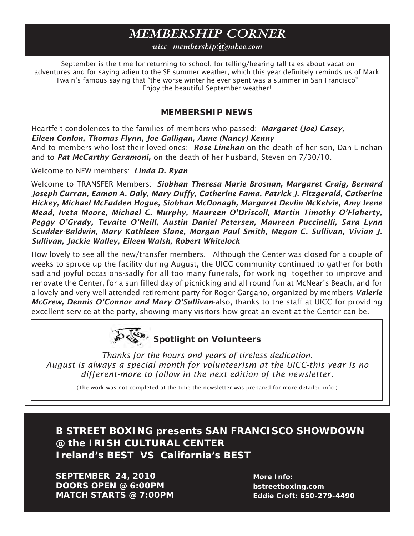# *Membership corner*

#### *uicc\_membership@yahoo.com*

 September is the time for returning to school, for telling/hearing tall tales about vacation adventures and for saying adieu to the SF summer weather, which this year definitely reminds us of Mark Twain's famous saying that "the worse winter he ever spent was a summer in San Francisco" Enjoy the beautiful September weather!

#### **MEMBERSHIP NEWS**

Heartfelt condolences to the families of members who passed: *Margaret (Joe) Casey, Eileen Conlon, Thomas Flynn, Joe Galligan, Anne (Nancy) Kenny* And to members who lost their loved ones: *Rose Linehan* on the death of her son, Dan Linehan and to *Pat McCarthy Geramoni,* on the death of her husband, Steven on 7/30/10.

Welcome to NEW members: *Linda D. Ryan*

Welcome to TRANSFER Members: *Siobhan Theresa Marie Brosnan, Margaret Craig, Bernard Joseph Curran, Eamon A. Daly, Mary Duffy, Catherine Fama, Patrick J. Fitzgerald, Catherine Hickey, Michael McFadden Hogue, Siobhan McDonagh, Margaret Devlin McKelvie, Amy Irene Mead, Iveta Moore, Michael C. Murphy, Maureen O'Driscoll, Martin Timothy O'Flaherty, Peggy O'Grady, Tevaite O'Neill, Austin Daniel Petersen, Maureen Puccinelli, Sara Lynn Scudder-Baldwin, Mary Kathleen Slane, Morgan Paul Smith, Megan C. Sullivan, Vivian J. Sullivan, Jackie Walley, Eileen Walsh, Robert Whitelock*

How lovely to see all the new/transfer members. Although the Center was closed for a couple of weeks to spruce up the facility during August, the UICC community continued to gather for both sad and joyful occasions-sadly for all too many funerals, for working together to improve and renovate the Center, for a sun filled day of picnicking and all round fun at McNear's Beach, and for a lovely and very well attended retirement party for Roger Gargano, organized by members *Valerie McGrew, Dennis O'Connor and Mary O'Sullivan*-also, thanks to the staff at UICC for providing excellent service at the party, showing many visitors how great an event at the Center can be.



*Thanks for the hours and years of tireless dedication. August is always a special month for volunteerism at the UICC-this year is no different-more to follow in the next edition of the newsletter.*

(The work was not completed at the time the newsletter was prepared for more detailed info.)

**B Street Boxing presents San Francisco Showdown @ the Irish CUltural Center Ireland's Best** *VS* **California's BEST**

**September 24, 2010 Doors open @ 6:00pm match starts @ 7:00pm**

**More Info: bstreetboxing.com Eddie Croft: 650-279-4490**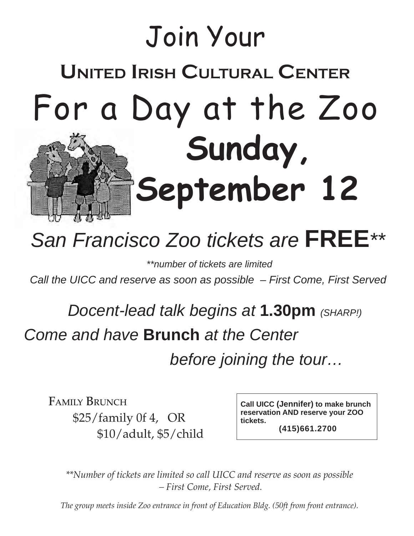

# *San Francisco Zoo tickets are* **FREE***\*\**

 *\*\*number of tickets are limited* 

*Call the UICC and reserve as soon as possible – First Come, First Served*

 *Docent-lead talk begins at* **1.30pm** *(SHARP!) Come and have* **Brunch** *at the Center before joining the tour…*

FAMILY BRUNCH \$25/family 0f 4, OR \$10/adult, \$5/child

**Call UICC (Jennifer) to make brunch reservation AND reserve your ZOO tickets. (415)661.2700**

*\*\*Number of tickets are limited so call UICC and reserve as soon as possible – First Come, First Served.* 

*The group meets inside Zoo entrance in front of Education Bldg. (50ft from front entrance).*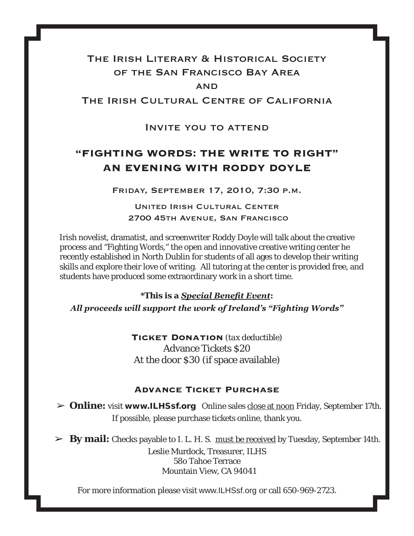## The Irish Literary & Historical Society of the San Francisco Bay Area **AND**

The Irish Cultural Centre of California

Invite you to attend

## **"FIGHTING WORDS: THE WRITE TO RIGHT" AN EVENING WITH RODDY DOYLE**

Friday, September 17, 2010, 7:30 p.m.

United Irish Cultural Center 2700 45th Avenue, San Francisco

Irish novelist, dramatist, and screenwriter Roddy Doyle will talk about the creative process and "Fighting Words," the open and innovative creative writing center he recently established in North Dublin for students of all ages to develop their writing skills and explore their love of writing. All tutoring at the center is provided free, and students have produced some extraordinary work in a short time.

*\*This is a Special Benefit Event:*

*All proceeds will support the work of Ireland's "Fighting Words"*

**Ticket Donation** *(tax deductible)* Advance Tickets \$20 At the door \$30 (if space available)

#### **Advance Ticket Purchase**

➢ **Online:** visit www.ILHSsf.org Online sales close at noon Friday, September 17th. If possible, please purchase tickets online, thank you.

➢ **By mail:** Checks payable to I. L. H. S. must be received by Tuesday, September 14th.

Leslie Murdock, Treasurer, ILHS 58o Tahoe Terrace Mountain View, CA 94041

For more information please visit www.ILHSsf.org or call 650-969-2723.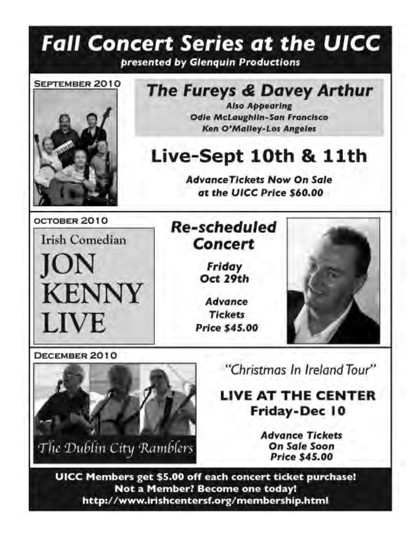# **Fall Concert Series at the UICC** presented by Glenquin Productions



# The Fureys & Davey Arthur

**Also Appearing Odie McLaughlin-San Francisco Ken O'Malley-Los Angeles** 

# Live-Sept 10th & 11th

**AdvanceTickets Now On Sale** at the UICC Price \$60.00

OCTOBER 2010

**Irish Comedian**  $ON$ **KENNY** LIVE

# **Re-scheduled** Concert

Friday Oct 29th

Advance **Tickets Price \$45.00** 



DECEMBER 2010



"Christmas In Ireland Tour"

LIVE AT THE CENTER Friday-Dec 10

> **Advance Tickets** On Sale Soon **Price \$45.00**

UICC Members get \$5.00 off each concert ticket purchase! Not a Member? Become one today! http://www.irishcentersf.org/membership.html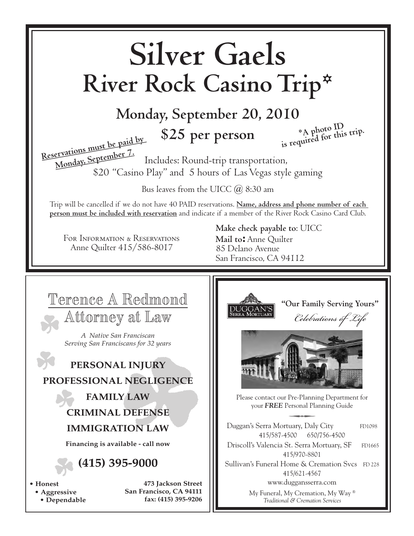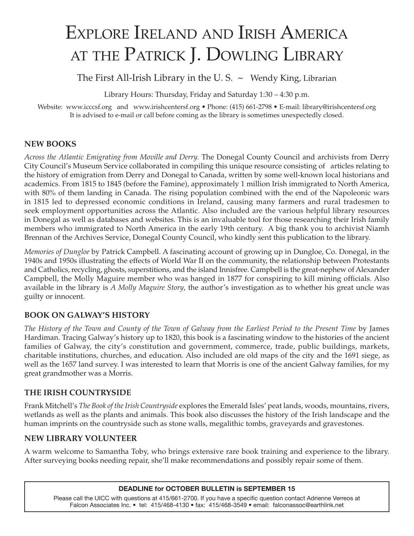# Explore Ireland and Irish America AT THE PATRICK J. DOWLING LIBRARY

The First All-Irish Library in the U.S.  $\sim$  Wendy King, Librarian

Library Hours: Thursday, Friday and Saturday 1:30 – 4:30 p.m.

Website: www.icccsf.org and www.irishcentersf.org • Phone: (415) 661-2798 • E-mail: library@irishcentersf.org It is advised to e-mail or call before coming as the library is sometimes unexpectedly closed.

#### **NEW BOOKS**

*Across the Atlantic Emigrating from Moville and Derry.* The Donegal County Council and archivists from Derry City Council's Museum Service collaborated in compiling this unique resource consisting of articles relating to the history of emigration from Derry and Donegal to Canada, written by some well-known local historians and academics. From 1815 to 1845 (before the Famine), approximately 1 million Irish immigrated to North America, with 80% of them landing in Canada. The rising population combined with the end of the Napoleonic wars in 1815 led to depressed economic conditions in Ireland, causing many farmers and rural tradesmen to seek employment opportunities across the Atlantic. Also included are the various helpful library resources in Donegal as well as databases and websites. This is an invaluable tool for those researching their Irish family members who immigrated to North America in the early 19th century. A big thank you to archivist Niamh Brennan of the Archives Service, Donegal County Council, who kindly sent this publication to the library.

*Memories of Dungloe* by Patrick Campbell. A fascinating account of growing up in Dungloe, Co. Donegal, in the 1940s and 1950s illustrating the effects of World War II on the community, the relationship between Protestants and Catholics, recycling, ghosts, superstitions, and the island Innisfree. Campbell is the great-nephew of Alexander Campbell, the Molly Maguire member who was hanged in 1877 for conspiring to kill mining officials. Also available in the library is *A Molly Maguire Story*, the author's investigation as to whether his great uncle was guilty or innocent.

#### **BOOK ON Galway's HISTORY**

*The History of the Town and County of the Town of Galway from the Earliest Period to the Present Time* by James Hardiman. Tracing Galway's history up to 1820, this book is a fascinating window to the histories of the ancient families of Galway, the city's constitution and government, commerce, trade, public buildings, markets, charitable institutions, churches, and education. Also included are old maps of the city and the 1691 siege, as well as the 1657 land survey. I was interested to learn that Morris is one of the ancient Galway families, for my great grandmother was a Morris.

#### **THE IRISH COUNTRYSIDE**

Frank Mitchell's *The Book of the Irish Countryside* explores the Emerald Isles' peat lands, woods, mountains, rivers, wetlands as well as the plants and animals. This book also discusses the history of the Irish landscape and the human imprints on the countryside such as stone walls, megalithic tombs, graveyards and gravestones.

#### **NEW LIBRARY VOLUNTEER**

A warm welcome to Samantha Toby, who brings extensive rare book training and experience to the library. After surveying books needing repair, she'll make recommendations and possibly repair some of them.

#### **DEADLINE for October BULLETIN is September 15**

Please call the UICC with questions at 415/661-2700. If you have a specific question contact Adrienne Verreos at Falcon Associates Inc. • tel: 415/468-4130 • fax: 415/468-3549 • email: falconassoc@earthlink.net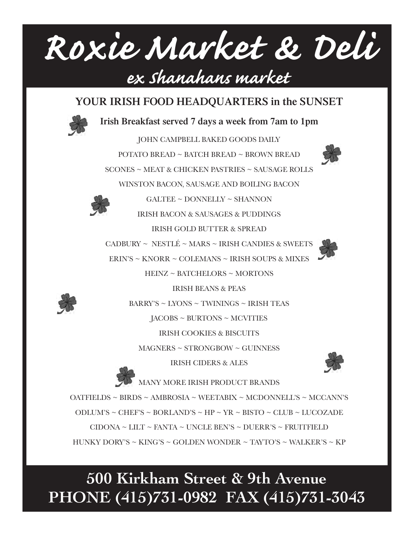

## **YOUR IRISH FOOD HEADQUARTERS in the SUNSET**



**Irish Breakfast served 7 days a week from 7am to 1pm**

JOHN CAMPBELL BAKED GOODS DAILY POTATO BREAD ~ BATCH BREAD ~ BROWN BREAD SCONES ~ MEAT & CHICKEN PASTRIES ~ SAUSAGE ROLLS WINSTON BACON, SAUSAGE AND BOILING BACON



IRISH BACON & SAUSAGES & PUDDINGS

 $GALTER \sim$  DONNELLY  $\sim$  SHANNON

IRISH GOLD BUTTER & SPREAD

CADBURY ~ NESTLÉ ~ MARS ~ IRISH CANDIES & SWEETS ERIN'S ~ KNORR ~ COLEMANS ~ IRISH SOUPS & MIXES

HEINZ ~ BATCHELORS ~ MORTONS

IRISH BEANS & PEAS



BARRY'S ~ LYONS ~ TWININGS ~ IRISH TEAS JACOBS ~ BURTONS ~ MCVITIES

IRISH COOKIES & BISCUITS

MAGNERS ~ STRONGBOW ~ GUINNESS

IRISH CIDERS & ALES



MANY MORE IRISH PRODUCT BRANDS OATFIELDS ~ BIRDS ~ AMBROSIA ~ WEETABIX ~ MCDONNELL'S ~ MCCANN'S ODLUM'S ~ CHEF'S ~ BORLAND'S ~ HP ~ YR ~ BISTO ~ CLUB ~ LUCOZADE  $CIDONA \sim LILT \sim FANTA \sim UNCLE BEN'S \sim DUERR'S \sim FRUITFIELD$ HUNKY DORY'S ~ KING'S ~ GOLDEN WONDER ~ TAYTO'S ~ WALKER'S ~ KP

# **500 Kirkham Street & 9th Avenue PHONE (415)731-0982 FAX (415)731-3043**

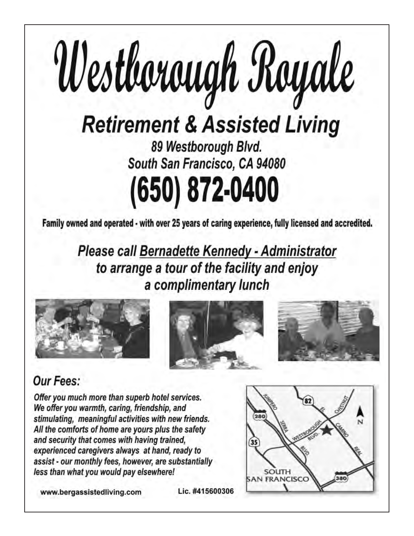

(650) 872-0400

Family owned and operated - with over 25 years of caring experience, fully licensed and accredited.

Please call Bernadette Kennedy - Administrator to arrange a tour of the facility and enjoy a complimentary lunch







# Our Fees:

Offer you much more than superb hotel services. We offer you warmth, caring, friendship, and stimulating, meaningful activities with new friends. All the comforts of home are yours plus the safety and security that comes with having trained, experienced caregivers always at hand, ready to assist - our monthly fees, however, are substantially less than what you would pay elsewhere!

www.bergassistedliving.com

SOUTH **SAN FRANCISCO** 

Lic. #415600306